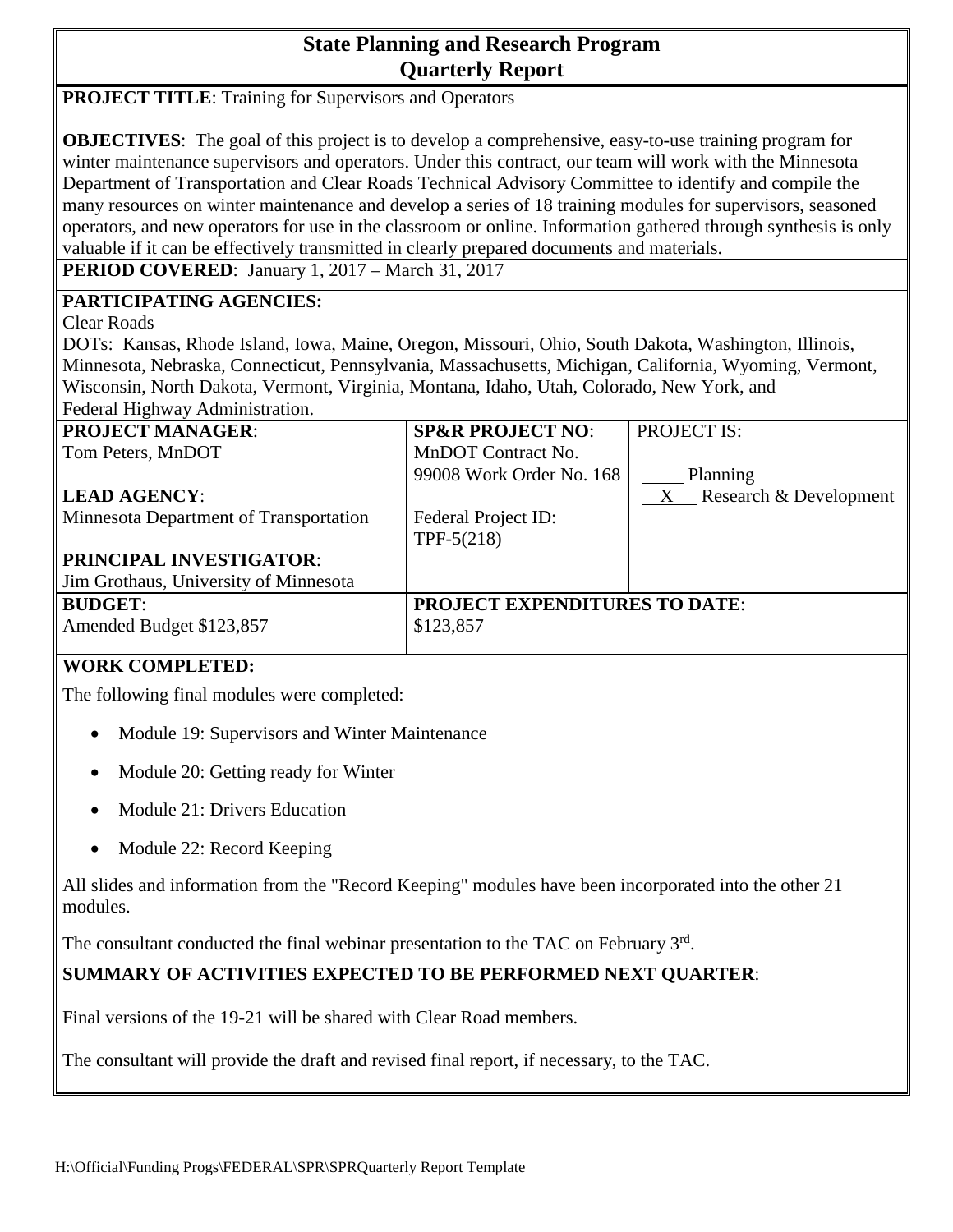# **State Planning and Research Program Quarterly Report**

**PROJECT TITLE:** Training for Supervisors and Operators

**OBJECTIVES**: The goal of this project is to develop a comprehensive, easy-to-use training program for winter maintenance supervisors and operators. Under this contract, our team will work with the Minnesota Department of Transportation and Clear Roads Technical Advisory Committee to identify and compile the many resources on winter maintenance and develop a series of 18 training modules for supervisors, seasoned operators, and new operators for use in the classroom or online. Information gathered through synthesis is only valuable if it can be effectively transmitted in clearly prepared documents and materials.

**PERIOD COVERED**: January 1, 2017 – March 31, 2017

#### **PARTICIPATING AGENCIES:**

Clear Roads

DOTs: Kansas, Rhode Island, Iowa, Maine, Oregon, Missouri, Ohio, South Dakota, Washington, Illinois, Minnesota, Nebraska, Connecticut, Pennsylvania, Massachusetts, Michigan, California, Wyoming, Vermont, Wisconsin, North Dakota, Vermont, Virginia, Montana, Idaho, Utah, Colorado, New York, and Federal Highway Administration.

| <b>PROJECT MANAGER:</b>                | <b>SP&amp;R PROJECT NO:</b>          | <b>PROJECT IS:</b>       |
|----------------------------------------|--------------------------------------|--------------------------|
| Tom Peters, MnDOT                      | MnDOT Contract No.                   |                          |
|                                        | 99008 Work Order No. 168             | Planning                 |
| <b>LEAD AGENCY:</b>                    |                                      | X Research & Development |
| Minnesota Department of Transportation | Federal Project ID:                  |                          |
|                                        | TPF- $5(218)$                        |                          |
| PRINCIPAL INVESTIGATOR:                |                                      |                          |
| Jim Grothaus, University of Minnesota  |                                      |                          |
| <b>BUDGET:</b>                         | <b>PROJECT EXPENDITURES TO DATE:</b> |                          |
| Amended Budget \$123,857               | \$123,857                            |                          |
|                                        |                                      |                          |

#### **WORK COMPLETED:**

The following final modules were completed:

- Module 19: Supervisors and Winter Maintenance
- Module 20: Getting ready for Winter
- Module 21: Drivers Education
- Module 22: Record Keeping

All slides and information from the "Record Keeping" modules have been incorporated into the other 21 modules.

The consultant conducted the final webinar presentation to the TAC on February 3rd.

### **SUMMARY OF ACTIVITIES EXPECTED TO BE PERFORMED NEXT QUARTER**:

Final versions of the 19-21 will be shared with Clear Road members.

The consultant will provide the draft and revised final report, if necessary, to the TAC.